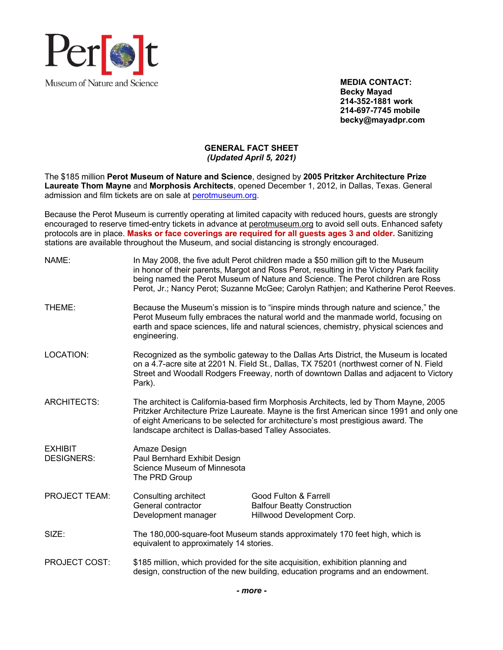

**MEDIA CONTACT: Becky Mayad 214-352-1881 work 214-697-7745 mobile becky@mayadpr.com**

# **GENERAL FACT SHEET** *(Updated April 5, 2021)*

The \$185 million **Perot Museum of Nature and Science**, designed by **2005 Pritzker Architecture Prize Laureate Thom Mayne** and **Morphosis Architects**, opened December 1, 2012, in Dallas, Texas. General admission and film tickets are on sale at perotmuseum.org.

Because the Perot Museum is currently operating at limited capacity with reduced hours, guests are strongly encouraged to reserve timed-entry tickets in advance at perotmuseum.org to avoid sell outs. Enhanced safety protocols are in place. **Masks or face coverings are required for all guests ages 3 and older.** Sanitizing stations are available throughout the Museum, and social distancing is strongly encouraged.

| NAME:                               |                                                                                                                                                                                                                                                                                                                                 | In May 2008, the five adult Perot children made a \$50 million gift to the Museum<br>in honor of their parents, Margot and Ross Perot, resulting in the Victory Park facility<br>being named the Perot Museum of Nature and Science. The Perot children are Ross<br>Perot, Jr.; Nancy Perot; Suzanne McGee; Carolyn Rathjen; and Katherine Perot Reeves. |
|-------------------------------------|---------------------------------------------------------------------------------------------------------------------------------------------------------------------------------------------------------------------------------------------------------------------------------------------------------------------------------|----------------------------------------------------------------------------------------------------------------------------------------------------------------------------------------------------------------------------------------------------------------------------------------------------------------------------------------------------------|
| THEME:                              | engineering.                                                                                                                                                                                                                                                                                                                    | Because the Museum's mission is to "inspire minds through nature and science," the<br>Perot Museum fully embraces the natural world and the manmade world, focusing on<br>earth and space sciences, life and natural sciences, chemistry, physical sciences and                                                                                          |
| LOCATION:                           | Recognized as the symbolic gateway to the Dallas Arts District, the Museum is located<br>on a 4.7-acre site at 2201 N. Field St., Dallas, TX 75201 (northwest corner of N. Field<br>Street and Woodall Rodgers Freeway, north of downtown Dallas and adjacent to Victory<br>Park).                                              |                                                                                                                                                                                                                                                                                                                                                          |
| <b>ARCHITECTS:</b>                  | The architect is California-based firm Morphosis Architects, led by Thom Mayne, 2005<br>Pritzker Architecture Prize Laureate. Mayne is the first American since 1991 and only one<br>of eight Americans to be selected for architecture's most prestigious award. The<br>landscape architect is Dallas-based Talley Associates. |                                                                                                                                                                                                                                                                                                                                                          |
| <b>EXHIBIT</b><br><b>DESIGNERS:</b> | Amaze Design<br>Paul Bernhard Exhibit Design<br>Science Museum of Minnesota<br>The PRD Group                                                                                                                                                                                                                                    |                                                                                                                                                                                                                                                                                                                                                          |
| <b>PROJECT TEAM:</b>                | Consulting architect<br>General contractor<br>Development manager                                                                                                                                                                                                                                                               | Good Fulton & Farrell<br><b>Balfour Beatty Construction</b><br>Hillwood Development Corp.                                                                                                                                                                                                                                                                |
| SIZE:                               | The 180,000-square-foot Museum stands approximately 170 feet high, which is<br>equivalent to approximately 14 stories.                                                                                                                                                                                                          |                                                                                                                                                                                                                                                                                                                                                          |
| PROJECT COST:                       |                                                                                                                                                                                                                                                                                                                                 | \$185 million, which provided for the site acquisition, exhibition planning and<br>design, construction of the new building, education programs and an endowment.                                                                                                                                                                                        |
|                                     |                                                                                                                                                                                                                                                                                                                                 |                                                                                                                                                                                                                                                                                                                                                          |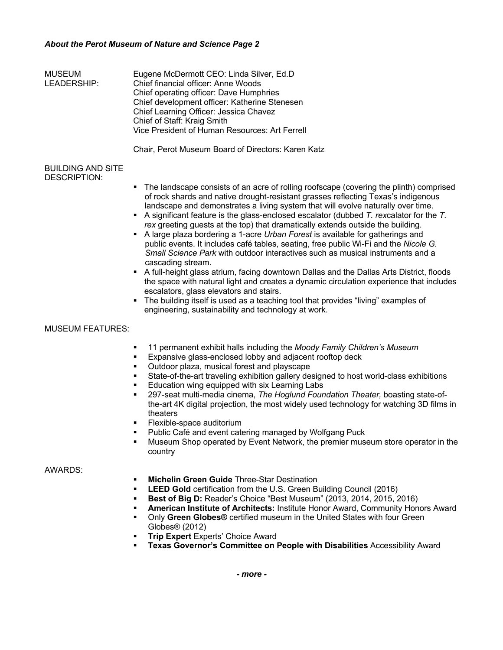## *About the Perot Museum of Nature and Science Page 2*

| <b>MUSEUM</b><br>LEADERSHIP:             | Eugene McDermott CEO: Linda Silver, Ed.D.<br>Chief financial officer: Anne Woods<br>Chief operating officer: Dave Humphries<br>Chief development officer: Katherine Stenesen<br>Chief Learning Officer: Jessica Chavez<br>Chief of Staff: Kraig Smith<br>Vice President of Human Resources: Art Ferrell<br>Chair, Perot Museum Board of Directors: Karen Katz                                                                                                                                                                                                                                                                                                                                                   |
|------------------------------------------|-----------------------------------------------------------------------------------------------------------------------------------------------------------------------------------------------------------------------------------------------------------------------------------------------------------------------------------------------------------------------------------------------------------------------------------------------------------------------------------------------------------------------------------------------------------------------------------------------------------------------------------------------------------------------------------------------------------------|
| <b>BUILDING AND SITE</b><br>DESCRIPTION: | • The landscape consists of an acre of rolling roofscape (covering the plinth) comprised<br>of rock shards and native drought-resistant grasses reflecting Texas's indigenous<br>landscape and demonstrates a living system that will evolve naturally over time.<br>A significant feature is the glass-enclosed escalator (dubbed $T$ . rexcalator for the $T$ .<br>rex greeting guests at the top) that dramatically extends outside the building.<br>A large plaza bordering a 1-acre Urban Forest is available for gatherings and<br>public events. It includes café tables, seating, free public Wi-Fi and the Nicole G.<br>Small Science Park with outdoor interactives such as musical instruments and a |
|                                          | cascading stream.<br>A full-height glass atrium, facing downtown Dallas and the Dallas Arts District, floods<br>the space with natural light and creates a dynamic circulation experience that includes                                                                                                                                                                                                                                                                                                                                                                                                                                                                                                         |

escalators, glass elevators and stairs. • The building itself is used as a teaching tool that provides "living" examples of engineering, sustainability and technology at work.

## MUSEUM FEATURES:

- § 11 permanent exhibit halls including the *Moody Family Children's Museum*
- Expansive glass-enclosed lobby and adjacent rooftop deck
- § Outdoor plaza, musical forest and playscape
- § State-of-the-art traveling exhibition gallery designed to host world-class exhibitions
- Education wing equipped with six Learning Labs
- § 297-seat multi-media cinema, *The Hoglund Foundation Theater,* boasting state-ofthe-art 4K digital projection, the most widely used technology for watching 3D films in theaters
- § Flexible-space auditorium
- Public Café and event catering managed by Wolfgang Puck
- § Museum Shop operated by Event Network, the premier museum store operator in the country

## AWARDS:

- **Michelin Green Guide Three-Star Destination**
- § **LEED Gold** certification from the U.S. Green Building Council (2016)
- § **Best of Big D:** Reader's Choice "Best Museum" (2013, 2014, 2015, 2016)
- § **American Institute of Architects:** Institute Honor Award, Community Honors Award
- § Only **Green Globes®** certified museum in the United States with four Green Globes® (2012)
- **Trip Expert Experts' Choice Award**
- § **Texas Governor's Committee on People with Disabilities** Accessibility Award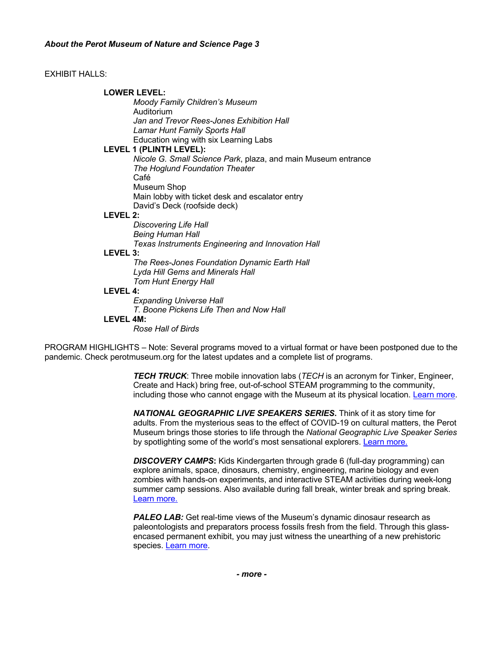## EXHIBIT HALLS:

## **LOWER LEVEL:**

*Moody Family Children's Museum* Auditorium *Jan and Trevor Rees-Jones Exhibition Hall Lamar Hunt Family Sports Hall* Education wing with six Learning Labs

## **LEVEL 1 (PLINTH LEVEL):**

*Nicole G. Small Science Park*, plaza, and main Museum entrance *The Hoglund Foundation Theater* Café Museum Shop Main lobby with ticket desk and escalator entry David's Deck (roofside deck)

#### **LEVEL 2:**

*Discovering Life Hall Being Human Hall Texas Instruments Engineering and Innovation Hall*

## **LEVEL 3:**

*The Rees-Jones Foundation Dynamic Earth Hall Lyda Hill Gems and Minerals Hall Tom Hunt Energy Hall*

#### **LEVEL 4:**

*Expanding Universe Hall T. Boone Pickens Life Then and Now Hall*

# **LEVEL 4M:**

*Rose Hall of Birds*

PROGRAM HIGHLIGHTS – Note: Several programs moved to a virtual format or have been postponed due to the pandemic. Check perotmuseum.org for the latest updates and a complete list of programs.

> *TECH TRUCK*: Three mobile innovation labs (*TECH* is an acronym for Tinker, Engineer, Create and Hack) bring free, out-of-school STEAM programming to the community, including those who cannot engage with the Museum at its physical location. Learn more.

> *NATIONAL GEOGRAPHIC LIVE SPEAKERS SERIES***.** Think of it as story time for adults. From the mysterious seas to the effect of COVID-19 on cultural matters, the Perot Museum brings those stories to life through the *National Geographic Live Speaker Series*  by spotlighting some of the world's most sensational explorers. Learn more.

*DISCOVERY CAMPS***:** Kids Kindergarten through grade 6 (full-day programming) can explore animals, space, dinosaurs, chemistry, engineering, marine biology and even zombies with hands-on experiments, and interactive STEAM activities during week-long summer camp sessions. Also available during fall break, winter break and spring break. Learn more.

**PALEO LAB:** Get real-time views of the Museum's dynamic dinosaur research as paleontologists and preparators process fossils fresh from the field. Through this glassencased permanent exhibit, you may just witness the unearthing of a new prehistoric species. Learn more.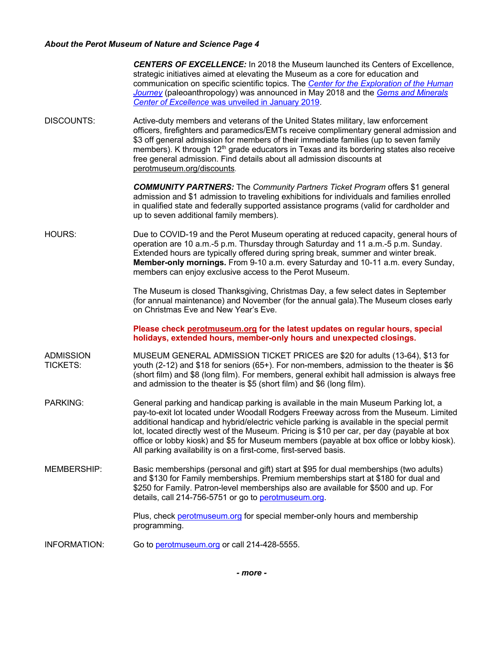# *About the Perot Museum of Nature and Science Page 4*

|                                     | <b>CENTERS OF EXCELLENCE:</b> In 2018 the Museum launched its Centers of Excellence,<br>strategic initiatives aimed at elevating the Museum as a core for education and<br>communication on specific scientific topics. The Center for the Exploration of the Human<br>Journey (paleoanthropology) was announced in May 2018 and the Gems and Minerals<br>Center of Excellence was unveiled in January 2019.                                                                                                                              |
|-------------------------------------|-------------------------------------------------------------------------------------------------------------------------------------------------------------------------------------------------------------------------------------------------------------------------------------------------------------------------------------------------------------------------------------------------------------------------------------------------------------------------------------------------------------------------------------------|
| <b>DISCOUNTS:</b>                   | Active-duty members and veterans of the United States military, law enforcement<br>officers, firefighters and paramedics/EMTs receive complimentary general admission and<br>\$3 off general admission for members of their immediate families (up to seven family<br>members). K through 12 <sup>th</sup> grade educators in Texas and its bordering states also receive<br>free general admission. Find details about all admission discounts at<br>perotmuseum.org/discounts.                                                          |
|                                     | <b>COMMUNITY PARTNERS:</b> The Community Partners Ticket Program offers \$1 general<br>admission and \$1 admission to traveling exhibitions for individuals and families enrolled<br>in qualified state and federally supported assistance programs (valid for cardholder and<br>up to seven additional family members).                                                                                                                                                                                                                  |
| HOURS:                              | Due to COVID-19 and the Perot Museum operating at reduced capacity, general hours of<br>operation are 10 a.m.-5 p.m. Thursday through Saturday and 11 a.m.-5 p.m. Sunday.<br>Extended hours are typically offered during spring break, summer and winter break.<br>Member-only mornings. From 9-10 a.m. every Saturday and 10-11 a.m. every Sunday,<br>members can enjoy exclusive access to the Perot Museum.                                                                                                                            |
|                                     | The Museum is closed Thanksgiving, Christmas Day, a few select dates in September<br>(for annual maintenance) and November (for the annual gala). The Museum closes early<br>on Christmas Eve and New Year's Eve.                                                                                                                                                                                                                                                                                                                         |
|                                     | Please check perotmuseum.org for the latest updates on regular hours, special<br>holidays, extended hours, member-only hours and unexpected closings.                                                                                                                                                                                                                                                                                                                                                                                     |
| <b>ADMISSION</b><br><b>TICKETS:</b> | MUSEUM GENERAL ADMISSION TICKET PRICES are \$20 for adults (13-64), \$13 for<br>youth (2-12) and \$18 for seniors (65+). For non-members, admission to the theater is \$6<br>(short film) and \$8 (long film). For members, general exhibit hall admission is always free<br>and admission to the theater is \$5 (short film) and \$6 (long film).                                                                                                                                                                                        |
| <b>PARKING:</b>                     | General parking and handicap parking is available in the main Museum Parking lot, a<br>pay-to-exit lot located under Woodall Rodgers Freeway across from the Museum. Limited<br>additional handicap and hybrid/electric vehicle parking is available in the special permit<br>lot, located directly west of the Museum. Pricing is \$10 per car, per day (payable at box<br>office or lobby kiosk) and \$5 for Museum members (payable at box office or lobby kiosk).<br>All parking availability is on a first-come, first-served basis. |
| <b>MEMBERSHIP:</b>                  | Basic memberships (personal and gift) start at \$95 for dual memberships (two adults)<br>and \$130 for Family memberships. Premium memberships start at \$180 for dual and<br>\$250 for Family. Patron-level memberships also are available for \$500 and up. For<br>details, call 214-756-5751 or go to perotmuseum.org.                                                                                                                                                                                                                 |
|                                     | Plus, check perotmuseum.org for special member-only hours and membership<br>programming.                                                                                                                                                                                                                                                                                                                                                                                                                                                  |
| <b>INFORMATION:</b>                 | Go to perotmuseum.org or call 214-428-5555.                                                                                                                                                                                                                                                                                                                                                                                                                                                                                               |